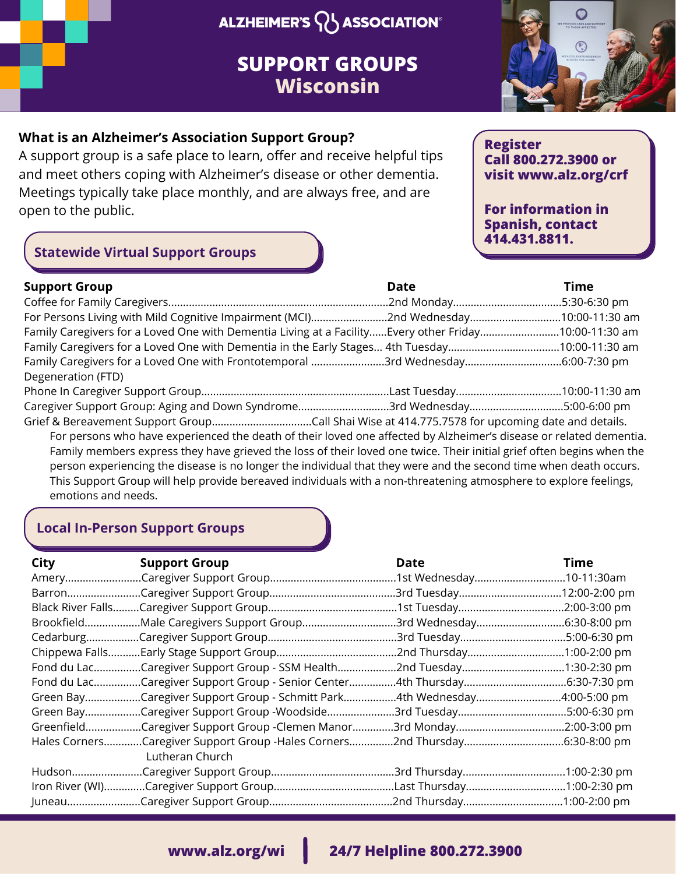## **ALZHEIMER'S V ASSOCIATION®**

## **SUPPORT GROUPS Wisconsin**



#### **What is an Alzheimer's Association Support Group?**

A support group is a safe place to learn, offer and receive helpful tips and meet others coping with Alzheimer's disease or other dementia. Meetings typically take place monthly, and are always free, and are open to the public.

#### **Register Call 800.272.3900 or visit www.alz.org/crf**

**For information in Spanish, contact 414.431.8811.**

### **Statewide Virtual Support Groups**

| <b>Support Group</b>                                                                                                                    | <b>Date</b> | <b>Time</b> |
|-----------------------------------------------------------------------------------------------------------------------------------------|-------------|-------------|
|                                                                                                                                         |             |             |
| For Persons Living with Mild Cognitive Impairment (MCI)2nd Wednesday10:00-11:30 am                                                      |             |             |
| Family Caregivers for a Loved One with Dementia Living at a FacilityEvery other Friday10:00-11:30 am                                    |             |             |
| Family Caregivers for a Loved One with Dementia in the Early Stages 4th Tuesday10:00-11:30 am                                           |             |             |
| Family Caregivers for a Loved One with Frontotemporal 3rd Wednesday6:00-7:30 pm                                                         |             |             |
| Degeneration (FTD)                                                                                                                      |             |             |
|                                                                                                                                         |             |             |
| Caregiver Support Group: Aging and Down Syndrome3rd Wednesday5:00-6:00 pm                                                               |             |             |
|                                                                                                                                         |             |             |
| For persons who have experienced the death of their loved one affected by Alzheimer's disease or related dementia.                      |             |             |
| Family members express they have grieved the loss of their loved one twice. Their initial grief often begins when the                   |             |             |
| person experiencing the disease is no longer the individual that they were and the second time when death occurs.                       |             |             |
| This Support Group will help provide bereaved individuals with a non-threatening atmosphere to explore feelings,<br>emotions and needs. |             |             |

#### **Local In-Person Support Groups**

| <b>City</b> | <b>Support Group</b>                                                                           | Date                      | <b>Time</b> |
|-------------|------------------------------------------------------------------------------------------------|---------------------------|-------------|
|             |                                                                                                |                           |             |
|             |                                                                                                |                           |             |
|             |                                                                                                |                           |             |
|             | BrookfieldMale Caregivers Support Group                                                        | 3rd Wednesday6:30-8:00 pm |             |
|             |                                                                                                |                           |             |
|             |                                                                                                | 2nd Thursday1:00-2:00 pm  |             |
|             | Fond du LacCaregiver Support Group - SSM Health                                                |                           |             |
|             | Fond du LacCaregiver Support Group - Senior Center4th Thursday6:30-7:30 pm                     |                           |             |
|             | Green BayCaregiver Support Group - Schmitt Park4th Wednesday4:00-5:00 pm                       |                           |             |
|             | Green BayCaregiver Support Group -Woodside3rd Tuesday5:00-6:30 pm                              |                           |             |
|             | GreenfieldCaregiver Support Group -Clemen Manor3rd Monday2:00-3:00 pm                          |                           |             |
|             | Hales CornersCaregiver Support Group -Hales Corners2nd Thursday6:30-8:00 pm<br>Lutheran Church |                           |             |
|             |                                                                                                |                           |             |
|             |                                                                                                |                           |             |
|             |                                                                                                |                           |             |